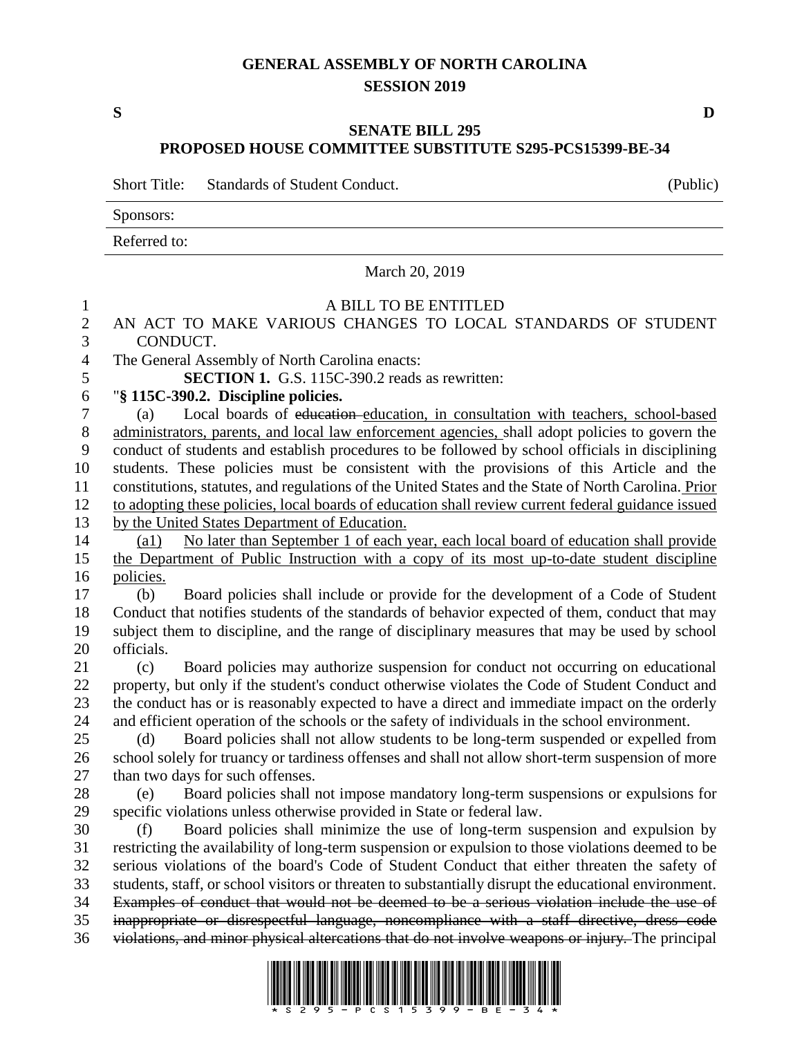## **GENERAL ASSEMBLY OF NORTH CAROLINA SESSION 2019**

**S D**

## **SENATE BILL 295 PROPOSED HOUSE COMMITTEE SUBSTITUTE S295-PCS15399-BE-34**

Short Title: Standards of Student Conduct. (Public)

Sponsors:

Referred to:

## March 20, 2019

## A BILL TO BE ENTITLED AN ACT TO MAKE VARIOUS CHANGES TO LOCAL STANDARDS OF STUDENT CONDUCT. The General Assembly of North Carolina enacts: **SECTION 1.** G.S. 115C-390.2 reads as rewritten: "**§ 115C-390.2. Discipline policies.** (a) Local boards of education education, in consultation with teachers, school-based 8 administrators, parents, and local law enforcement agencies, shall adopt policies to govern the conduct of students and establish procedures to be followed by school officials in disciplining students. These policies must be consistent with the provisions of this Article and the constitutions, statutes, and regulations of the United States and the State of North Carolina. Prior to adopting these policies, local boards of education shall review current federal guidance issued by the United States Department of Education. 14 (a1) No later than September 1 of each year, each local board of education shall provide the Department of Public Instruction with a copy of its most up-to-date student discipline policies. (b) Board policies shall include or provide for the development of a Code of Student Conduct that notifies students of the standards of behavior expected of them, conduct that may subject them to discipline, and the range of disciplinary measures that may be used by school officials. (c) Board policies may authorize suspension for conduct not occurring on educational property, but only if the student's conduct otherwise violates the Code of Student Conduct and the conduct has or is reasonably expected to have a direct and immediate impact on the orderly and efficient operation of the schools or the safety of individuals in the school environment. (d) Board policies shall not allow students to be long-term suspended or expelled from school solely for truancy or tardiness offenses and shall not allow short-term suspension of more than two days for such offenses. (e) Board policies shall not impose mandatory long-term suspensions or expulsions for specific violations unless otherwise provided in State or federal law. (f) Board policies shall minimize the use of long-term suspension and expulsion by restricting the availability of long-term suspension or expulsion to those violations deemed to be serious violations of the board's Code of Student Conduct that either threaten the safety of students, staff, or school visitors or threaten to substantially disrupt the educational environment. Examples of conduct that would not be deemed to be a serious violation include the use of inappropriate or disrespectful language, noncompliance with a staff directive, dress code violations, and minor physical altercations that do not involve weapons or injury. The principal